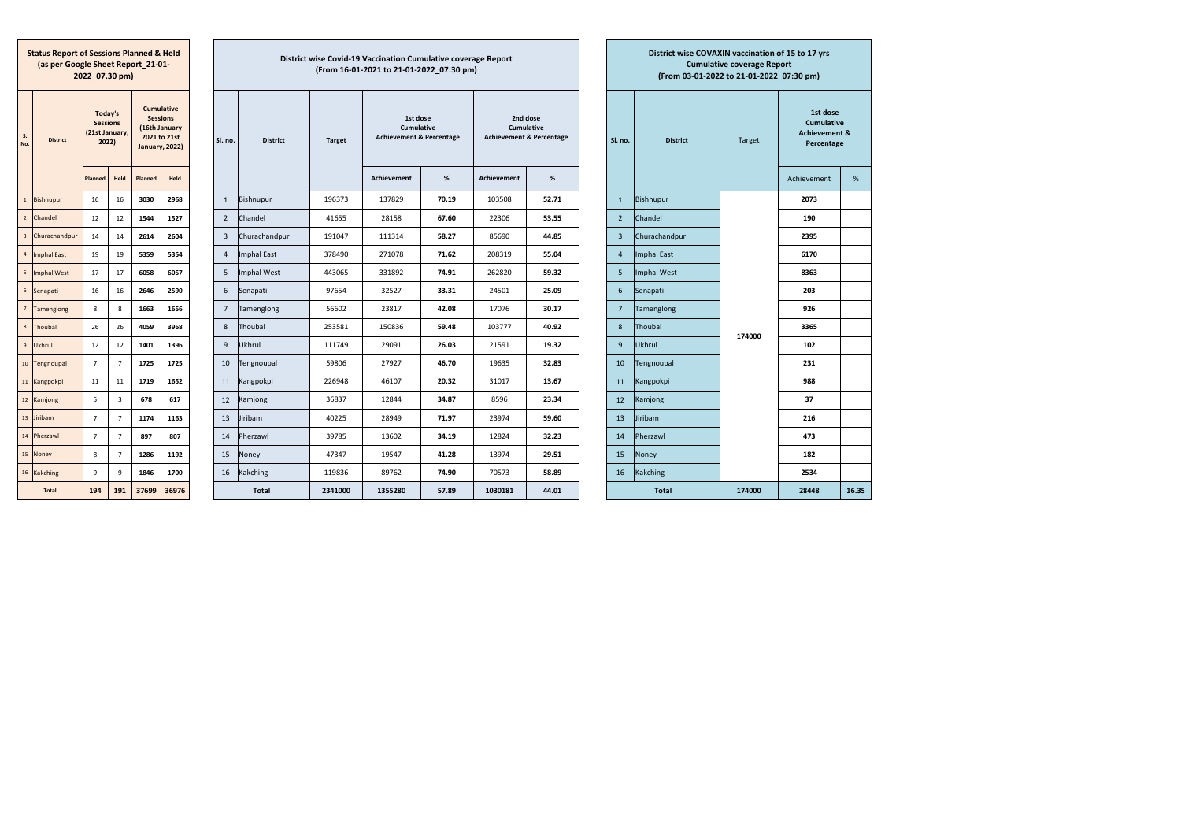**Status Report of Sessions Planned & Held (as per Google Sheet Report\_21-01-2022\_07.30 pm)**

| S.<br>No.               | <b>District</b>    | Today's<br><b>Sessions</b><br>(21st January,<br>2022) |      |         |       |  |
|-------------------------|--------------------|-------------------------------------------------------|------|---------|-------|--|
|                         |                    | Planned                                               | Held | Planned | Held  |  |
| $\mathbf{1}$            | <b>Bishnupur</b>   | 16                                                    | 16   | 3030    | 2968  |  |
| $\overline{2}$          | Chandel            | 12                                                    | 12   | 1544    | 1527  |  |
| $\overline{\mathbf{3}}$ | Churachandpur      | 14                                                    | 14   | 2614    | 2604  |  |
| $\overline{4}$          | <b>Imphal East</b> | 19                                                    | 19   | 5359    | 5354  |  |
| 5                       | <b>Imphal West</b> | 17                                                    | 17   | 6058    | 6057  |  |
| 6                       | Senapati           | 16                                                    | 16   | 2646    | 2590  |  |
| $\overline{7}$          | Tamenglong         | 8                                                     | 8    | 1663    | 1656  |  |
| 8                       | Thoubal            | 26                                                    | 26   | 4059    | 3968  |  |
| $\overline{9}$          | Ukhrul             | 12                                                    | 12   | 1401    | 1396  |  |
| 10                      | Tengnoupal         | 7                                                     | 7    | 1725    | 1725  |  |
| 11                      | Kangpokpi          | 11                                                    | 11   | 1719    | 1652  |  |
| 12                      | Kamjong            | 5                                                     | 3    | 678     | 617   |  |
| 13                      | Jiribam            | $\overline{7}$                                        | 7    | 1174    | 1163  |  |
| 14                      | Pherzawl           | $\overline{7}$                                        | 7    | 897     | 807   |  |
| 15                      | Noney              | 8                                                     | 7    | 1286    | 1192  |  |
| 16                      | Kakching           | 9                                                     | 9    | 1846    | 1700  |  |
|                         | <b>Total</b>       | 194                                                   | 191  | 37699   | 36976 |  |

**District wise Covid-19 Vaccination Cumulative coverage Report(From 16-01-2021 to 21-01-2022\_07:30 pm)**

| <b>District</b>    | Today's<br><b>Sessions</b><br>(21st January,<br>2022) |                         |         | <b>Cumulative</b><br><b>Sessions</b><br>(16th January<br>2021 to 21st |  |                |                    |         |                    |       |                    |       |                 |                    |        | <b>January, 2022)</b> |       |  |  |  |  |  |  | Held |  |  |  |  |  |  |  |  |  | SI. no. | <b>District</b> | <b>Target</b> | 1st dose<br>Cumulative<br><b>Achievement &amp; Percentage</b> |  | 2nd dose<br>Cumulative<br><b>Achievement &amp; Percentage</b> |  | Sl. no. | <b>District</b> | Target | 1st dose<br><b>Cumulative</b><br><b>Achievement &amp;</b><br>Percentage |  |
|--------------------|-------------------------------------------------------|-------------------------|---------|-----------------------------------------------------------------------|--|----------------|--------------------|---------|--------------------|-------|--------------------|-------|-----------------|--------------------|--------|-----------------------|-------|--|--|--|--|--|--|------|--|--|--|--|--|--|--|--|--|---------|-----------------|---------------|---------------------------------------------------------------|--|---------------------------------------------------------------|--|---------|-----------------|--------|-------------------------------------------------------------------------|--|
|                    | <b>Planned</b>                                        | Held                    | Planned |                                                                       |  |                |                    |         | <b>Achievement</b> | %     | <b>Achievement</b> | %     |                 |                    |        | Achievement           | %     |  |  |  |  |  |  |      |  |  |  |  |  |  |  |  |  |         |                 |               |                                                               |  |                                                               |  |         |                 |        |                                                                         |  |
| Bishnupur          | 16                                                    | 16                      | 3030    | 2968                                                                  |  | 1              | Bishnupur          | 196373  | 137829             | 70.19 | 103508             | 52.71 | $\mathbf{1}$    | <b>Bishnupur</b>   |        | 2073                  |       |  |  |  |  |  |  |      |  |  |  |  |  |  |  |  |  |         |                 |               |                                                               |  |                                                               |  |         |                 |        |                                                                         |  |
| Chandel            | 12                                                    | 12                      | 1544    | 1527                                                                  |  | $\overline{2}$ | Chandel            | 41655   | 28158              | 67.60 | 22306              | 53.55 | $\overline{2}$  | Chandel            |        | 190                   |       |  |  |  |  |  |  |      |  |  |  |  |  |  |  |  |  |         |                 |               |                                                               |  |                                                               |  |         |                 |        |                                                                         |  |
| Churachandpur      | 14                                                    | 14                      | 2614    | 2604                                                                  |  | $\overline{3}$ | Churachandpur      | 191047  | 111314             | 58.27 | 85690              | 44.85 | $\overline{3}$  | Churachandpur      |        | 2395                  |       |  |  |  |  |  |  |      |  |  |  |  |  |  |  |  |  |         |                 |               |                                                               |  |                                                               |  |         |                 |        |                                                                         |  |
| <b>Imphal East</b> | 19                                                    | 19                      | 5359    | 5354                                                                  |  | $\Delta$       | <b>Imphal East</b> | 378490  | 271078             | 71.62 | 208319             | 55.04 | $\overline{4}$  | <b>Imphal East</b> |        | 6170                  |       |  |  |  |  |  |  |      |  |  |  |  |  |  |  |  |  |         |                 |               |                                                               |  |                                                               |  |         |                 |        |                                                                         |  |
| <b>Imphal West</b> | 17                                                    | 17                      | 6058    | 6057                                                                  |  | 5              | Imphal West        | 443065  | 331892             | 74.91 | 262820             | 59.32 | 5               | <b>Imphal West</b> |        | 8363                  |       |  |  |  |  |  |  |      |  |  |  |  |  |  |  |  |  |         |                 |               |                                                               |  |                                                               |  |         |                 |        |                                                                         |  |
| Senapati           | 16                                                    | 16                      | 2646    | 2590                                                                  |  | 6              | Senapati           | 97654   | 32527              | 33.31 | 24501              | 25.09 | 6               | Senapati           |        | 203                   |       |  |  |  |  |  |  |      |  |  |  |  |  |  |  |  |  |         |                 |               |                                                               |  |                                                               |  |         |                 |        |                                                                         |  |
| Tamenglong         | 8                                                     | 8                       | 1663    | 1656                                                                  |  | $\overline{7}$ | Tamenglong         | 56602   | 23817              | 42.08 | 17076              | 30.17 | $7\overline{ }$ | Tamenglong         |        | 926                   |       |  |  |  |  |  |  |      |  |  |  |  |  |  |  |  |  |         |                 |               |                                                               |  |                                                               |  |         |                 |        |                                                                         |  |
| Thoubal            | 26                                                    | 26                      | 4059    | 3968                                                                  |  | 8              | Thoubal            | 253581  | 150836             | 59.48 | 103777             | 40.92 | 8               | Thoubal            | 174000 | 3365                  |       |  |  |  |  |  |  |      |  |  |  |  |  |  |  |  |  |         |                 |               |                                                               |  |                                                               |  |         |                 |        |                                                                         |  |
| Ukhrul             | 12                                                    | 12                      | 1401    | 1396                                                                  |  | 9              | Ukhrul             | 111749  | 29091              | 26.03 | 21591              | 19.32 | 9               | Ukhrul             |        | 102                   |       |  |  |  |  |  |  |      |  |  |  |  |  |  |  |  |  |         |                 |               |                                                               |  |                                                               |  |         |                 |        |                                                                         |  |
| Tengnoupal         | $\overline{7}$                                        | $\overline{7}$          | 1725    | 1725                                                                  |  | 10             | Tengnoupal         | 59806   | 27927              | 46.70 | 19635              | 32.83 | 10 <sup>°</sup> | Tengnoupal         |        | 231                   |       |  |  |  |  |  |  |      |  |  |  |  |  |  |  |  |  |         |                 |               |                                                               |  |                                                               |  |         |                 |        |                                                                         |  |
| Kangpokpi          | 11                                                    | 11                      | 1719    | 1652                                                                  |  | 11             | Kangpokpi          | 226948  | 46107              | 20.32 | 31017              | 13.67 | 11              | Kangpokpi          |        | 988                   |       |  |  |  |  |  |  |      |  |  |  |  |  |  |  |  |  |         |                 |               |                                                               |  |                                                               |  |         |                 |        |                                                                         |  |
| Kamjong            | 5                                                     | $\overline{\mathbf{3}}$ | 678     | 617                                                                   |  | 12             | Kamjong            | 36837   | 12844              | 34.87 | 8596               | 23.34 | 12              | Kamjong            |        | 37                    |       |  |  |  |  |  |  |      |  |  |  |  |  |  |  |  |  |         |                 |               |                                                               |  |                                                               |  |         |                 |        |                                                                         |  |
| Jiribam            | $\overline{7}$                                        | $\overline{7}$          | 1174    | 1163                                                                  |  | 13             | Jiribam            | 40225   | 28949              | 71.97 | 23974              | 59.60 | 13              | Jiribam            |        | 216                   |       |  |  |  |  |  |  |      |  |  |  |  |  |  |  |  |  |         |                 |               |                                                               |  |                                                               |  |         |                 |        |                                                                         |  |
| Pherzawl           | $\overline{7}$                                        | $\overline{7}$          | 897     | 807                                                                   |  | 14             | Pherzawl           | 39785   | 13602              | 34.19 | 12824              | 32.23 | 14              | Pherzawl           |        | 473                   |       |  |  |  |  |  |  |      |  |  |  |  |  |  |  |  |  |         |                 |               |                                                               |  |                                                               |  |         |                 |        |                                                                         |  |
| Noney              | 8                                                     | $\overline{7}$          | 1286    | 1192                                                                  |  | 15             | Noney              | 47347   | 19547              | 41.28 | 13974              | 29.51 | 15              | Noney              |        | 182                   |       |  |  |  |  |  |  |      |  |  |  |  |  |  |  |  |  |         |                 |               |                                                               |  |                                                               |  |         |                 |        |                                                                         |  |
| Kakching           | 9                                                     | 9                       | 1846    | 1700                                                                  |  | 16             | Kakching           | 119836  | 89762              | 74.90 | 70573              | 58.89 | 16              | Kakching           |        | 2534                  |       |  |  |  |  |  |  |      |  |  |  |  |  |  |  |  |  |         |                 |               |                                                               |  |                                                               |  |         |                 |        |                                                                         |  |
| <b>Total</b>       | 194                                                   | 191                     | 37699   | 36976                                                                 |  |                | <b>Total</b>       | 2341000 | 1355280            | 57.89 | 1030181            | 44.01 |                 | <b>Total</b>       | 174000 | 28448                 | 16.35 |  |  |  |  |  |  |      |  |  |  |  |  |  |  |  |  |         |                 |               |                                                               |  |                                                               |  |         |                 |        |                                                                         |  |
|                    |                                                       |                         |         |                                                                       |  |                |                    |         |                    |       |                    |       |                 |                    |        |                       |       |  |  |  |  |  |  |      |  |  |  |  |  |  |  |  |  |         |                 |               |                                                               |  |                                                               |  |         |                 |        |                                                                         |  |

|                | District wise COVAXIN vaccination of 15 to 17 yrs<br><b>Cumulative coverage Report</b><br>(From 03-01-2022 to 21-01-2022 07:30 pm) |        |                                                                         |       |  |  |  |  |  |  |  |  |  |  |  |
|----------------|------------------------------------------------------------------------------------------------------------------------------------|--------|-------------------------------------------------------------------------|-------|--|--|--|--|--|--|--|--|--|--|--|
| SI. no.        | <b>District</b>                                                                                                                    | Target | 1st dose<br><b>Cumulative</b><br><b>Achievement &amp;</b><br>Percentage |       |  |  |  |  |  |  |  |  |  |  |  |
|                |                                                                                                                                    |        | <b>Achievement</b>                                                      | %     |  |  |  |  |  |  |  |  |  |  |  |
| $\mathbf{1}$   | Bishnupur                                                                                                                          |        | 2073                                                                    |       |  |  |  |  |  |  |  |  |  |  |  |
| $\overline{2}$ | Chandel                                                                                                                            |        | 190                                                                     |       |  |  |  |  |  |  |  |  |  |  |  |
| 3              | Churachandpur                                                                                                                      |        | 2395                                                                    |       |  |  |  |  |  |  |  |  |  |  |  |
| 4              | <b>Imphal East</b>                                                                                                                 |        | 6170                                                                    |       |  |  |  |  |  |  |  |  |  |  |  |
| 5              | <b>Imphal West</b>                                                                                                                 |        | 8363                                                                    |       |  |  |  |  |  |  |  |  |  |  |  |
| 6              | Senapati                                                                                                                           |        | 203                                                                     |       |  |  |  |  |  |  |  |  |  |  |  |
| $\overline{7}$ | Tamenglong                                                                                                                         |        | 926                                                                     |       |  |  |  |  |  |  |  |  |  |  |  |
| 8              | Thoubal                                                                                                                            | 174000 | 3365                                                                    |       |  |  |  |  |  |  |  |  |  |  |  |
| 9              | <b>Ukhrul</b>                                                                                                                      |        | 102                                                                     |       |  |  |  |  |  |  |  |  |  |  |  |
| 10             | Tengnoupal                                                                                                                         |        | 231                                                                     |       |  |  |  |  |  |  |  |  |  |  |  |
| 11             | Kangpokpi                                                                                                                          |        | 988                                                                     |       |  |  |  |  |  |  |  |  |  |  |  |
| 12             | Kamjong                                                                                                                            |        | 37                                                                      |       |  |  |  |  |  |  |  |  |  |  |  |
| 13             | Jiribam                                                                                                                            |        | 216                                                                     |       |  |  |  |  |  |  |  |  |  |  |  |
| 14             | Pherzawl                                                                                                                           |        | 473                                                                     |       |  |  |  |  |  |  |  |  |  |  |  |
| 15             | Noney                                                                                                                              |        | 182                                                                     |       |  |  |  |  |  |  |  |  |  |  |  |
| 16             | Kakching                                                                                                                           |        | 2534                                                                    |       |  |  |  |  |  |  |  |  |  |  |  |
|                | <b>Total</b>                                                                                                                       | 174000 | 28448                                                                   | 16.35 |  |  |  |  |  |  |  |  |  |  |  |